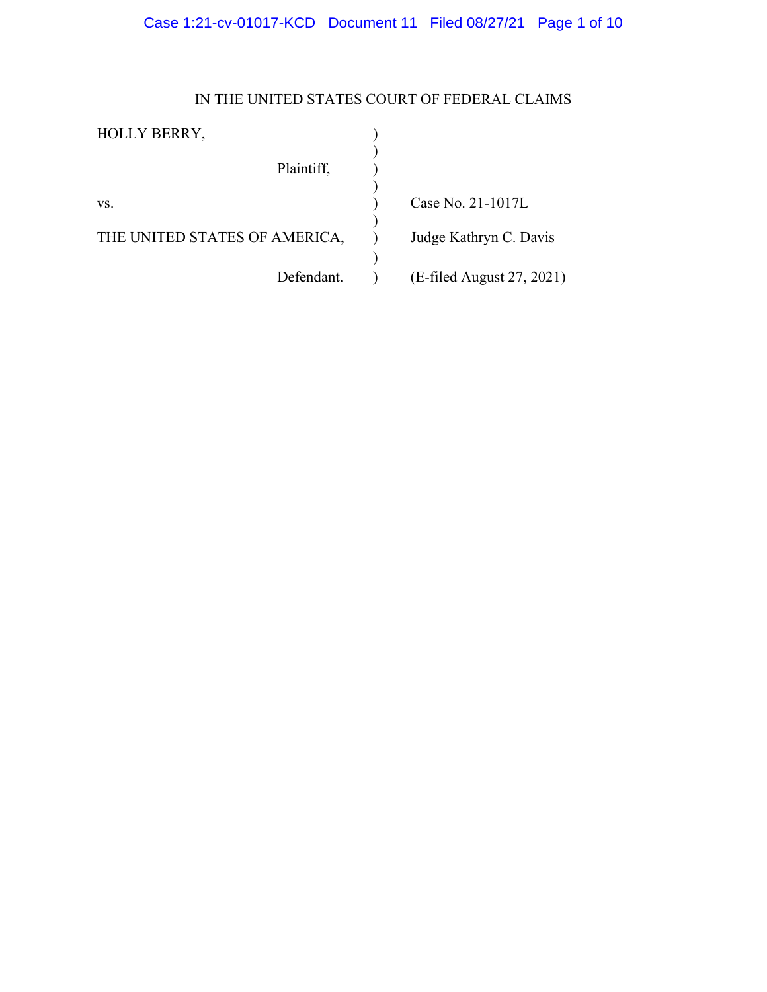# Case 1:21-cv-01017-KCD Document 11 Filed 08/27/21 Page 1 of 10

## IN THE UNITED STATES COURT OF FEDERAL CLAIMS

| <b>HOLLY BERRY,</b>           |                           |
|-------------------------------|---------------------------|
| Plaintiff,                    |                           |
| VS.                           | Case No. 21-1017L         |
| THE UNITED STATES OF AMERICA, | Judge Kathryn C. Davis    |
| Defendant.                    | (E-filed August 27, 2021) |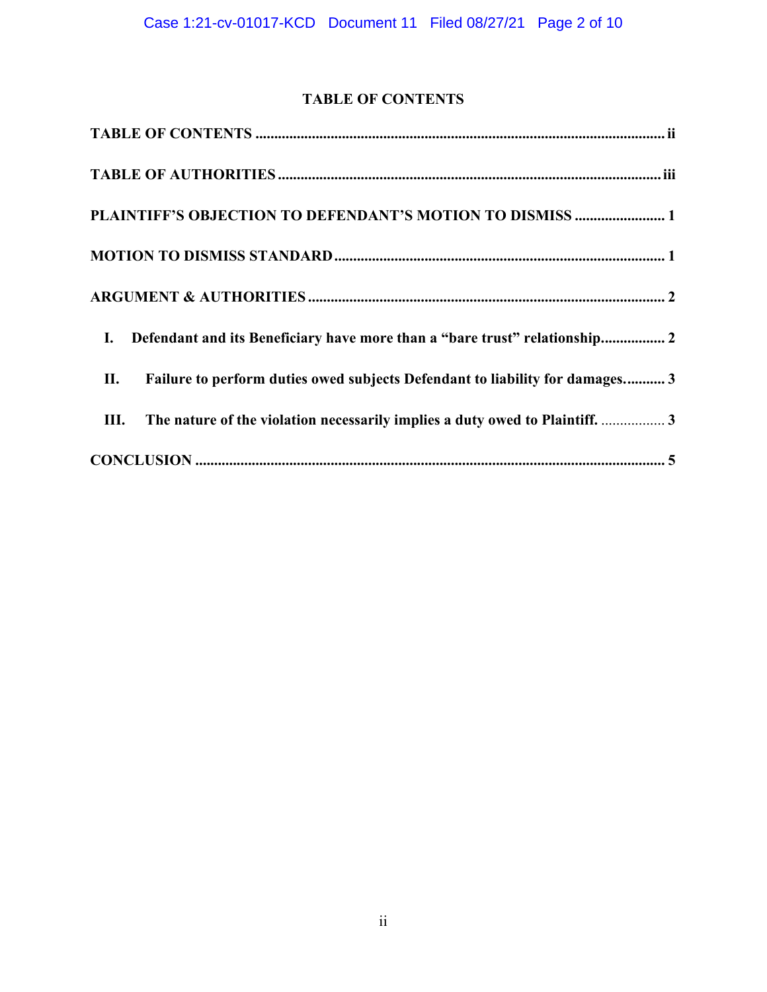## **TABLE OF CONTENTS**

<span id="page-1-0"></span>

| PLAINTIFF'S OBJECTION TO DEFENDANT'S MOTION TO DISMISS  1                                    |
|----------------------------------------------------------------------------------------------|
|                                                                                              |
|                                                                                              |
| Defendant and its Beneficiary have more than a "bare trust" relationship 2<br>$\mathbf{I}$ . |
| Failure to perform duties owed subjects Defendant to liability for damages 3<br>П.           |
| The nature of the violation necessarily implies a duty owed to Plaintiff.  3<br>Ш.           |
|                                                                                              |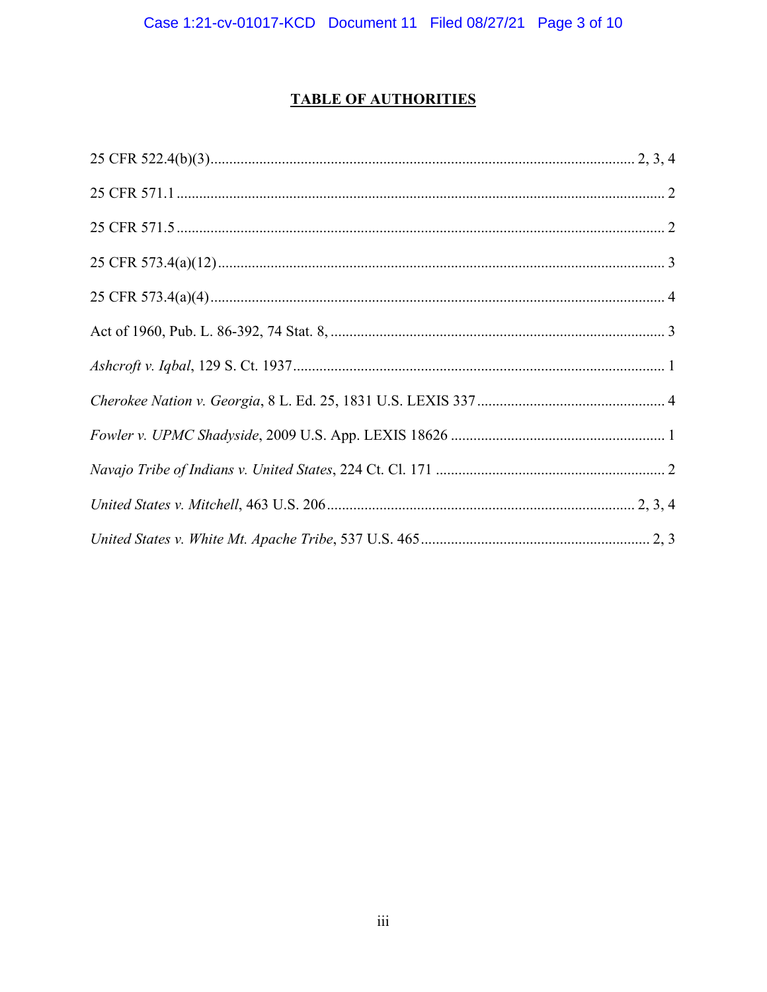# **TABLE OF AUTHORITIES**

<span id="page-2-0"></span>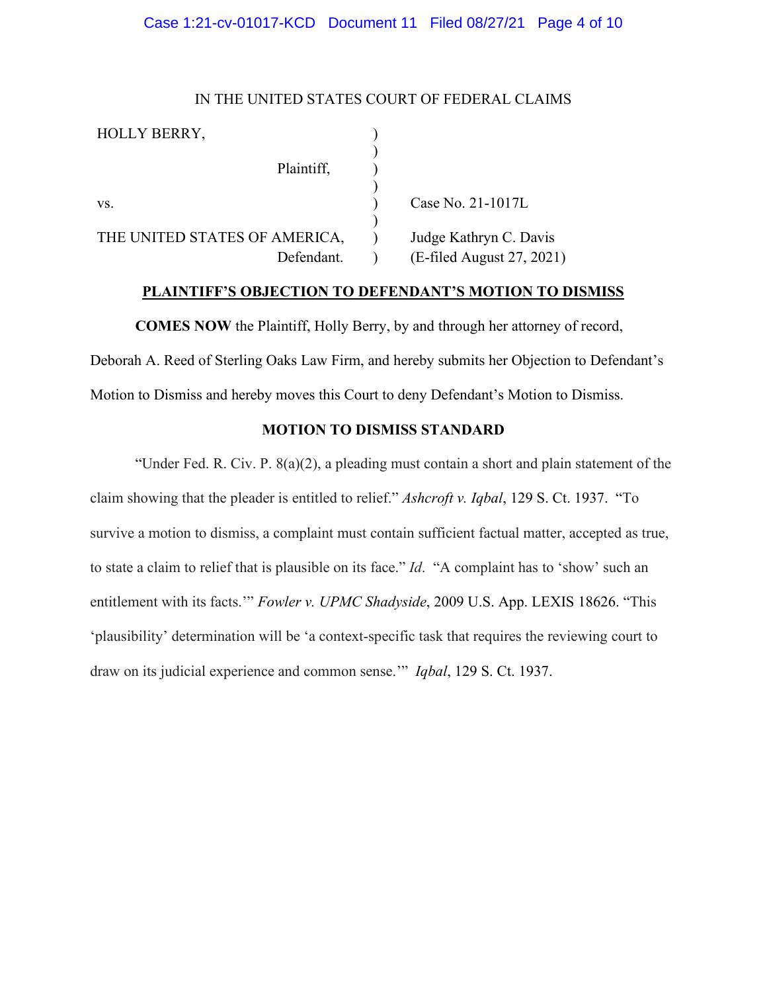### Case 1:21-cv-01017-KCD Document 11 Filed 08/27/21 Page 4 of 10

## IN THE UNITED STATES COURT OF FEDERAL CLAIMS

| HOLLY BERRY,                  |            |                           |
|-------------------------------|------------|---------------------------|
|                               | Plaintiff, |                           |
| VS.                           |            | Case No. 21-1017L         |
| THE UNITED STATES OF AMERICA, |            | Judge Kathryn C. Davis    |
|                               | Defendant. | (E-filed August 27, 2021) |

## **PLAINTIFF'S OBJECTION TO DEFENDANT'S MOTION TO DISMISS**

<span id="page-3-0"></span>**COMES NOW** the Plaintiff, Holly Berry, by and through her attorney of record, Deborah A. Reed of Sterling Oaks Law Firm, and hereby submits her Objection to Defendant's Motion to Dismiss and hereby moves this Court to deny Defendant's Motion to Dismiss.

## **MOTION TO DISMISS STANDARD**

<span id="page-3-1"></span>"Under Fed. R. Civ. P. 8(a)(2), a pleading must contain a short and plain statement of the claim showing that the pleader is entitled to relief." *Ashcroft v. Iqbal*, 129 S. Ct. 1937. "To survive a motion to dismiss, a complaint must contain sufficient factual matter, accepted as true, to state a claim to relief that is plausible on its face." *Id*. "A complaint has to 'show' such an entitlement with its facts.'" *Fowler v. UPMC Shadyside*, 2009 U.S. App. LEXIS 18626. "This 'plausibility' determination will be 'a context-specific task that requires the reviewing court to draw on its judicial experience and common sense.'" *Iqbal*, 129 S. Ct. 1937.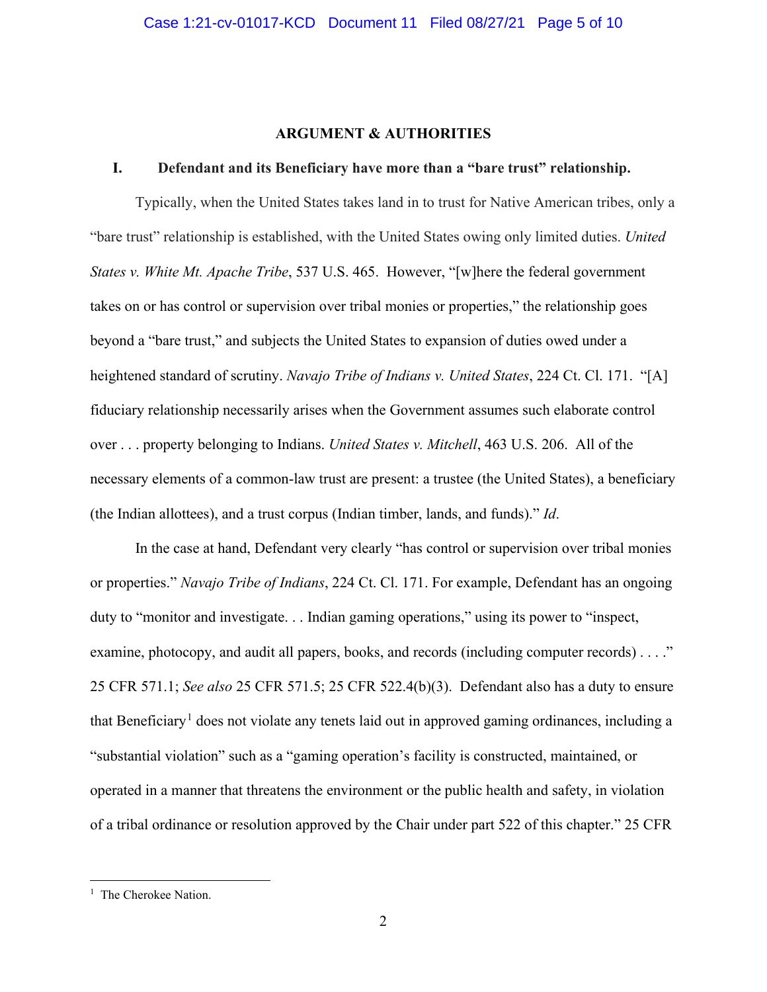#### **ARGUMENT & AUTHORITIES**

## <span id="page-4-1"></span><span id="page-4-0"></span>**I. Defendant and its Beneficiary have more than a "bare trust" relationship.**

Typically, when the United States takes land in to trust for Native American tribes, only a "bare trust" relationship is established, with the United States owing only limited duties. *United States v. White Mt. Apache Tribe*, 537 U.S. 465. However, "[w]here the federal government takes on or has control or supervision over tribal monies or properties," the relationship goes beyond a "bare trust," and subjects the United States to expansion of duties owed under a heightened standard of scrutiny. *Navajo Tribe of Indians v. United States*, 224 Ct. Cl. 171. "[A] fiduciary relationship necessarily arises when the Government assumes such elaborate control over . . . property belonging to Indians. *United States v. Mitchell*, 463 U.S. 206. All of the necessary elements of a common-law trust are present: a trustee (the United States), a beneficiary (the Indian allottees), and a trust corpus (Indian timber, lands, and funds)." *Id*.

In the case at hand, Defendant very clearly "has control or supervision over tribal monies or properties." *Navajo Tribe of Indians*, 224 Ct. Cl. 171. For example, Defendant has an ongoing duty to "monitor and investigate. . . Indian gaming operations," using its power to "inspect, examine, photocopy, and audit all papers, books, and records (including computer records) . . . ." 25 CFR 571.1; *See also* 25 CFR 571.5; 25 CFR 522.4(b)(3). Defendant also has a duty to ensure that Beneficiary<sup>[1](#page-4-2)</sup> does not violate any tenets laid out in approved gaming ordinances, including a "substantial violation" such as a "gaming operation's facility is constructed, maintained, or operated in a manner that threatens the environment or the public health and safety, in violation of a tribal ordinance or resolution approved by the Chair under part 522 of this chapter." 25 CFR

<span id="page-4-2"></span><sup>&</sup>lt;sup>1</sup> The Cherokee Nation.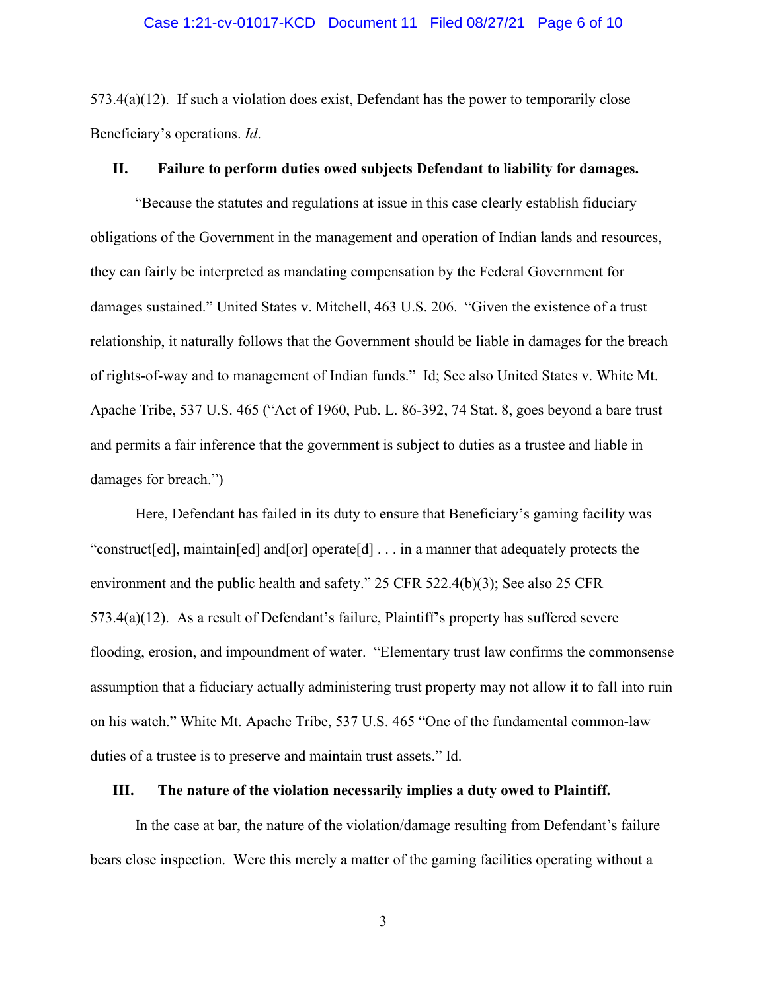#### Case 1:21-cv-01017-KCD Document 11 Filed 08/27/21 Page 6 of 10

573.4(a)(12). If such a violation does exist, Defendant has the power to temporarily close Beneficiary's operations. *Id*.

### <span id="page-5-0"></span>**II. Failure to perform duties owed subjects Defendant to liability for damages.**

"Because the statutes and regulations at issue in this case clearly establish fiduciary obligations of the Government in the management and operation of Indian lands and resources, they can fairly be interpreted as mandating compensation by the Federal Government for damages sustained." United States v. Mitchell, 463 U.S. 206. "Given the existence of a trust relationship, it naturally follows that the Government should be liable in damages for the breach of rights-of-way and to management of Indian funds." Id; See also United States v. White Mt. Apache Tribe, 537 U.S. 465 ("Act of 1960, Pub. L. 86-392, 74 Stat. 8, goes beyond a bare trust and permits a fair inference that the government is subject to duties as a trustee and liable in damages for breach.")

Here, Defendant has failed in its duty to ensure that Beneficiary's gaming facility was "construct[ed], maintain[ed] and[or] operate[d] . . . in a manner that adequately protects the environment and the public health and safety." 25 CFR 522.4(b)(3); See also 25 CFR 573.4(a)(12). As a result of Defendant's failure, Plaintiff's property has suffered severe flooding, erosion, and impoundment of water. "Elementary trust law confirms the commonsense assumption that a fiduciary actually administering trust property may not allow it to fall into ruin on his watch." White Mt. Apache Tribe, 537 U.S. 465 "One of the fundamental common-law duties of a trustee is to preserve and maintain trust assets." Id.

#### <span id="page-5-1"></span>**III. The nature of the violation necessarily implies a duty owed to Plaintiff.**

In the case at bar, the nature of the violation/damage resulting from Defendant's failure bears close inspection. Were this merely a matter of the gaming facilities operating without a

3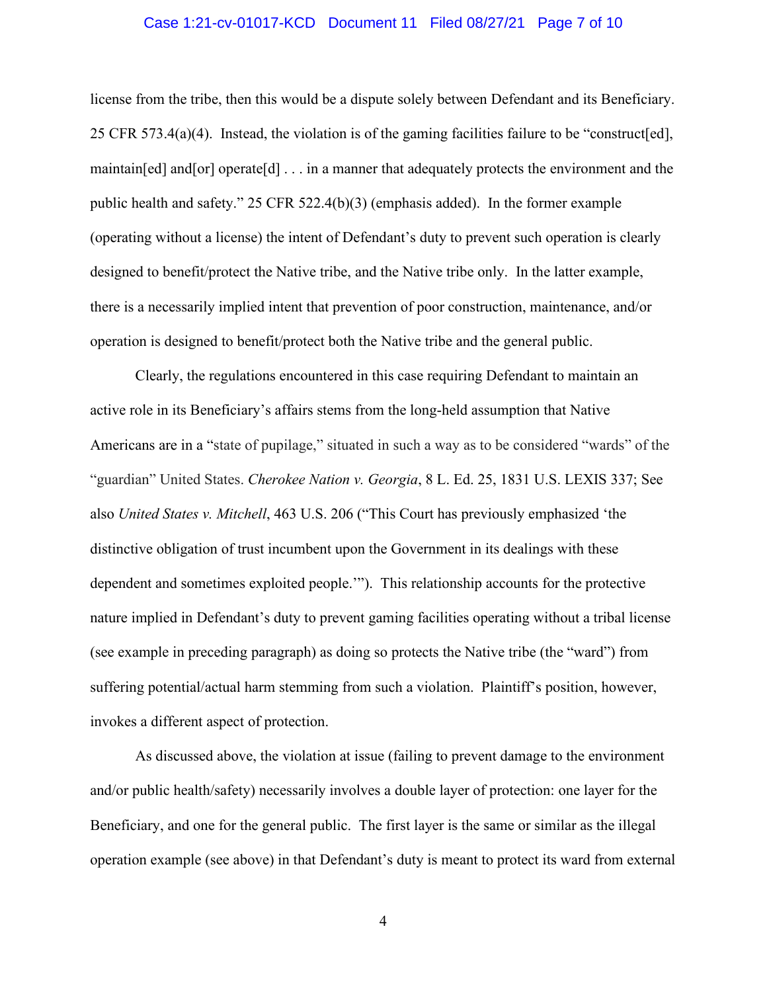#### Case 1:21-cv-01017-KCD Document 11 Filed 08/27/21 Page 7 of 10

license from the tribe, then this would be a dispute solely between Defendant and its Beneficiary. 25 CFR 573.4(a)(4). Instead, the violation is of the gaming facilities failure to be "construct[ed], maintain[ed] and[or] operate[d] . . . in a manner that adequately protects the environment and the public health and safety." 25 CFR 522.4(b)(3) (emphasis added). In the former example (operating without a license) the intent of Defendant's duty to prevent such operation is clearly designed to benefit/protect the Native tribe, and the Native tribe only. In the latter example, there is a necessarily implied intent that prevention of poor construction, maintenance, and/or operation is designed to benefit/protect both the Native tribe and the general public.

Clearly, the regulations encountered in this case requiring Defendant to maintain an active role in its Beneficiary's affairs stems from the long-held assumption that Native Americans are in a "state of pupilage," situated in such a way as to be considered "wards" of the "guardian" United States. *[Cherokee](https://plus.lexis.com/api/document/collection/cases/id/3S4X-KK10-003B-H531-00000-00?cite=30%20U.S.%201&context=1530671) Nation v. Georgia*, 8 L. Ed. 25, 1831 U.S. LEXIS 337; See also *United States v. Mitchell*, 463 U.S. 206 ("This Court has previously emphasized 'the distinctive obligation of trust incumbent upon the Government in its dealings with these dependent and sometimes exploited people.'"). This relationship accounts for the protective nature implied in Defendant's duty to prevent gaming facilities operating without a tribal license (see example in preceding paragraph) as doing so protects the Native tribe (the "ward") from suffering potential/actual harm stemming from such a violation. Plaintiff's position, however, invokes a different aspect of protection.

As discussed above, the violation at issue (failing to prevent damage to the environment and/or public health/safety) necessarily involves a double layer of protection: one layer for the Beneficiary, and one for the general public. The first layer is the same or similar as the illegal operation example (see above) in that Defendant's duty is meant to protect its ward from external

4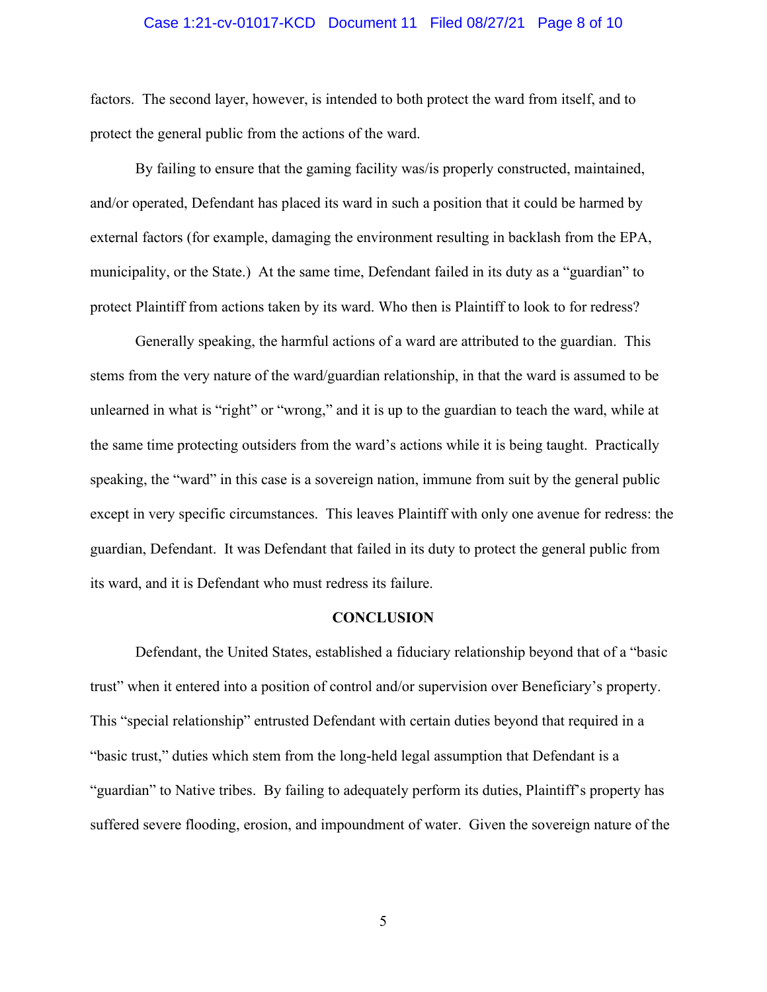#### Case 1:21-cv-01017-KCD Document 11 Filed 08/27/21 Page 8 of 10

factors. The second layer, however, is intended to both protect the ward from itself, and to protect the general public from the actions of the ward.

By failing to ensure that the gaming facility was/is properly constructed, maintained, and/or operated, Defendant has placed its ward in such a position that it could be harmed by external factors (for example, damaging the environment resulting in backlash from the EPA, municipality, or the State.) At the same time, Defendant failed in its duty as a "guardian" to protect Plaintiff from actions taken by its ward. Who then is Plaintiff to look to for redress?

Generally speaking, the harmful actions of a ward are attributed to the guardian. This stems from the very nature of the ward/guardian relationship, in that the ward is assumed to be unlearned in what is "right" or "wrong," and it is up to the guardian to teach the ward, while at the same time protecting outsiders from the ward's actions while it is being taught. Practically speaking, the "ward" in this case is a sovereign nation, immune from suit by the general public except in very specific circumstances. This leaves Plaintiff with only one avenue for redress: the guardian, Defendant. It was Defendant that failed in its duty to protect the general public from its ward, and it is Defendant who must redress its failure.

#### **CONCLUSION**

<span id="page-7-0"></span>Defendant, the United States, established a fiduciary relationship beyond that of a "basic trust" when it entered into a position of control and/or supervision over Beneficiary's property. This "special relationship" entrusted Defendant with certain duties beyond that required in a "basic trust," duties which stem from the long-held legal assumption that Defendant is a "guardian" to Native tribes. By failing to adequately perform its duties, Plaintiff's property has suffered severe flooding, erosion, and impoundment of water. Given the sovereign nature of the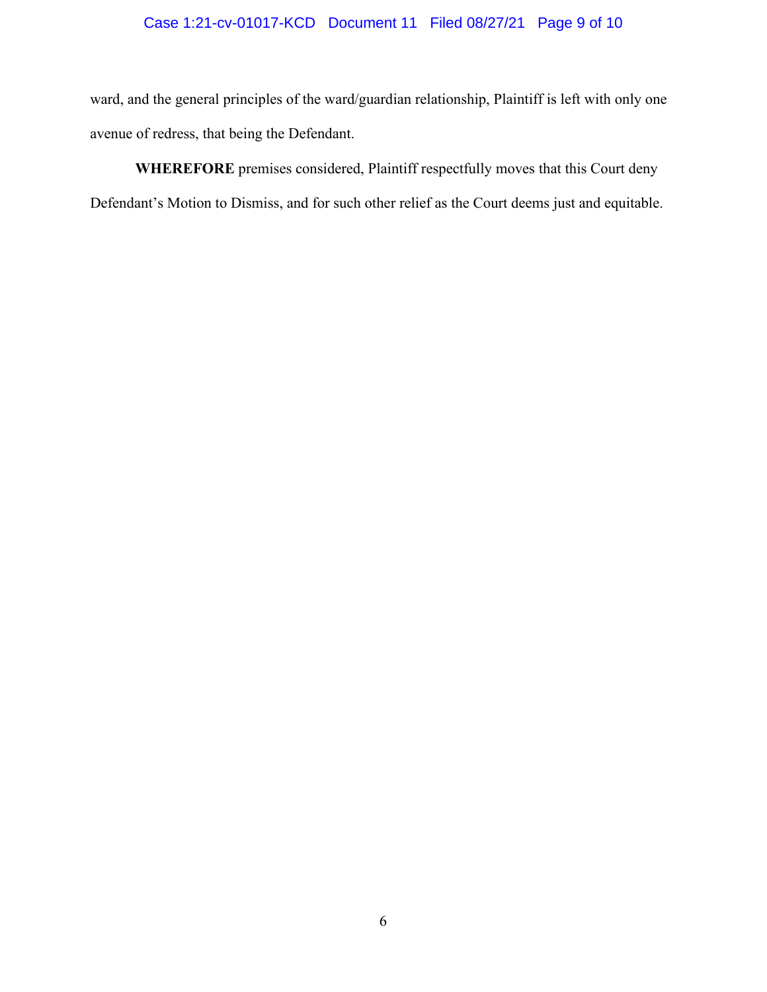# Case 1:21-cv-01017-KCD Document 11 Filed 08/27/21 Page 9 of 10

ward, and the general principles of the ward/guardian relationship, Plaintiff is left with only one avenue of redress, that being the Defendant.

**WHEREFORE** premises considered, Plaintiff respectfully moves that this Court deny Defendant's Motion to Dismiss, and for such other relief as the Court deems just and equitable.